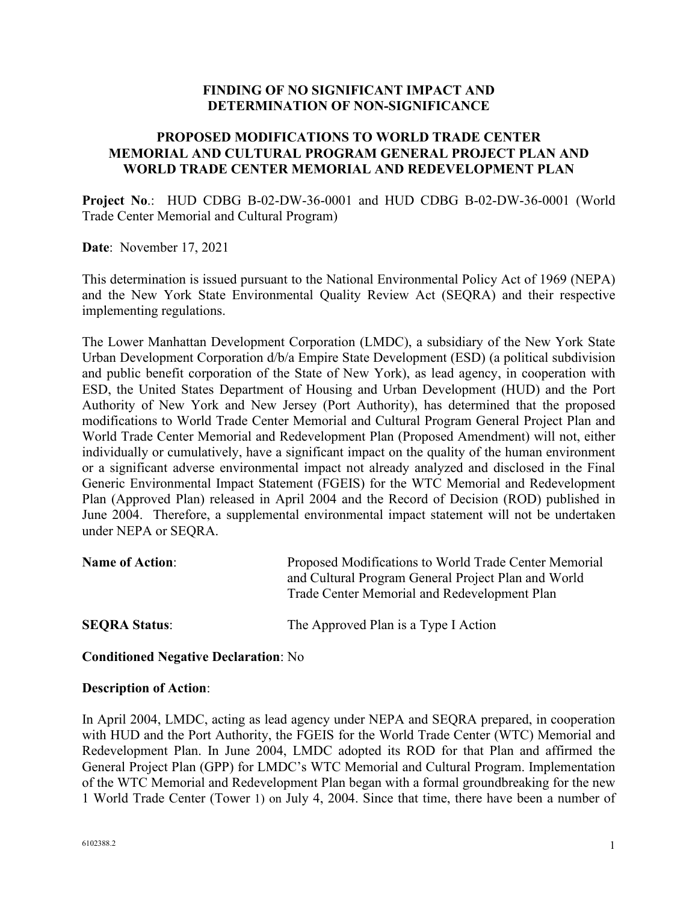### **FINDING OF NO SIGNIFICANT IMPACT AND DETERMINATION OF NON-SIGNIFICANCE**

## **PROPOSED MODIFICATIONS TO WORLD TRADE CENTER MEMORIAL AND CULTURAL PROGRAM GENERAL PROJECT PLAN AND WORLD TRADE CENTER MEMORIAL AND REDEVELOPMENT PLAN**

**Project No**.: HUD CDBG B-02-DW-36-0001 and HUD CDBG B-02-DW-36-0001 (World Trade Center Memorial and Cultural Program)

**Date**: November 17, 2021

This determination is issued pursuant to the National Environmental Policy Act of 1969 (NEPA) and the New York State Environmental Quality Review Act (SEQRA) and their respective implementing regulations.

The Lower Manhattan Development Corporation (LMDC), a subsidiary of the New York State Urban Development Corporation d/b/a Empire State Development (ESD) (a political subdivision and public benefit corporation of the State of New York), as lead agency, in cooperation with ESD, the United States Department of Housing and Urban Development (HUD) and the Port Authority of New York and New Jersey (Port Authority), has determined that the proposed modifications to World Trade Center Memorial and Cultural Program General Project Plan and World Trade Center Memorial and Redevelopment Plan (Proposed Amendment) will not, either individually or cumulatively, have a significant impact on the quality of the human environment or a significant adverse environmental impact not already analyzed and disclosed in the Final Generic Environmental Impact Statement (FGEIS) for the WTC Memorial and Redevelopment Plan (Approved Plan) released in April 2004 and the Record of Decision (ROD) published in June 2004. Therefore, a supplemental environmental impact statement will not be undertaken under NEPA or SEQRA.

| <b>Name of Action:</b> | Proposed Modifications to World Trade Center Memorial<br>and Cultural Program General Project Plan and World<br>Trade Center Memorial and Redevelopment Plan |
|------------------------|--------------------------------------------------------------------------------------------------------------------------------------------------------------|
| <b>SEORA Status:</b>   | The Approved Plan is a Type I Action                                                                                                                         |

### **Conditioned Negative Declaration**: No

#### **Description of Action**:

In April 2004, LMDC, acting as lead agency under NEPA and SEQRA prepared, in cooperation with HUD and the Port Authority, the FGEIS for the World Trade Center (WTC) Memorial and Redevelopment Plan. In June 2004, LMDC adopted its ROD for that Plan and affirmed the General Project Plan (GPP) for LMDC's WTC Memorial and Cultural Program. Implementation of the WTC Memorial and Redevelopment Plan began with a formal groundbreaking for the new 1 World Trade Center (Tower 1) on July 4, 2004. Since that time, there have been a number of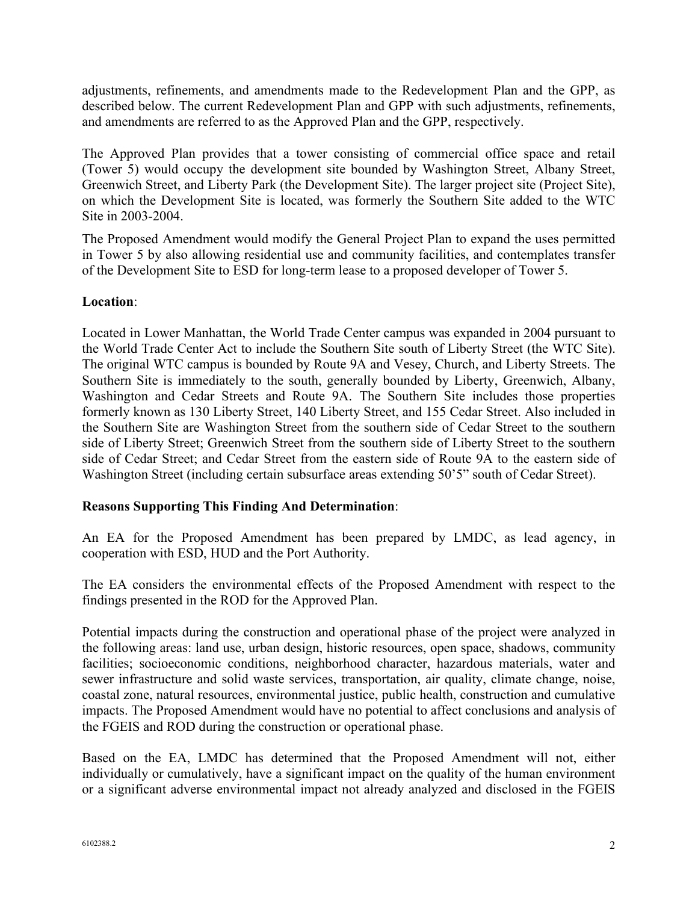adjustments, refinements, and amendments made to the Redevelopment Plan and the GPP, as described below. The current Redevelopment Plan and GPP with such adjustments, refinements, and amendments are referred to as the Approved Plan and the GPP, respectively.

The Approved Plan provides that a tower consisting of commercial office space and retail (Tower 5) would occupy the development site bounded by Washington Street, Albany Street, Greenwich Street, and Liberty Park (the Development Site). The larger project site (Project Site), on which the Development Site is located, was formerly the Southern Site added to the WTC Site in 2003-2004.

The Proposed Amendment would modify the General Project Plan to expand the uses permitted in Tower 5 by also allowing residential use and community facilities, and contemplates transfer of the Development Site to ESD for long-term lease to a proposed developer of Tower 5.

## **Location**:

Located in Lower Manhattan, the World Trade Center campus was expanded in 2004 pursuant to the World Trade Center Act to include the Southern Site south of Liberty Street (the WTC Site). The original WTC campus is bounded by Route 9A and Vesey, Church, and Liberty Streets. The Southern Site is immediately to the south, generally bounded by Liberty, Greenwich, Albany, Washington and Cedar Streets and Route 9A. The Southern Site includes those properties formerly known as 130 Liberty Street, 140 Liberty Street, and 155 Cedar Street. Also included in the Southern Site are Washington Street from the southern side of Cedar Street to the southern side of Liberty Street; Greenwich Street from the southern side of Liberty Street to the southern side of Cedar Street; and Cedar Street from the eastern side of Route 9A to the eastern side of Washington Street (including certain subsurface areas extending 50'5" south of Cedar Street).

# **Reasons Supporting This Finding And Determination**:

An EA for the Proposed Amendment has been prepared by LMDC, as lead agency, in cooperation with ESD, HUD and the Port Authority.

The EA considers the environmental effects of the Proposed Amendment with respect to the findings presented in the ROD for the Approved Plan.

Potential impacts during the construction and operational phase of the project were analyzed in the following areas: land use, urban design, historic resources, open space, shadows, community facilities; socioeconomic conditions, neighborhood character, hazardous materials, water and sewer infrastructure and solid waste services, transportation, air quality, climate change, noise, coastal zone, natural resources, environmental justice, public health, construction and cumulative impacts. The Proposed Amendment would have no potential to affect conclusions and analysis of the FGEIS and ROD during the construction or operational phase.

Based on the EA, LMDC has determined that the Proposed Amendment will not, either individually or cumulatively, have a significant impact on the quality of the human environment or a significant adverse environmental impact not already analyzed and disclosed in the FGEIS